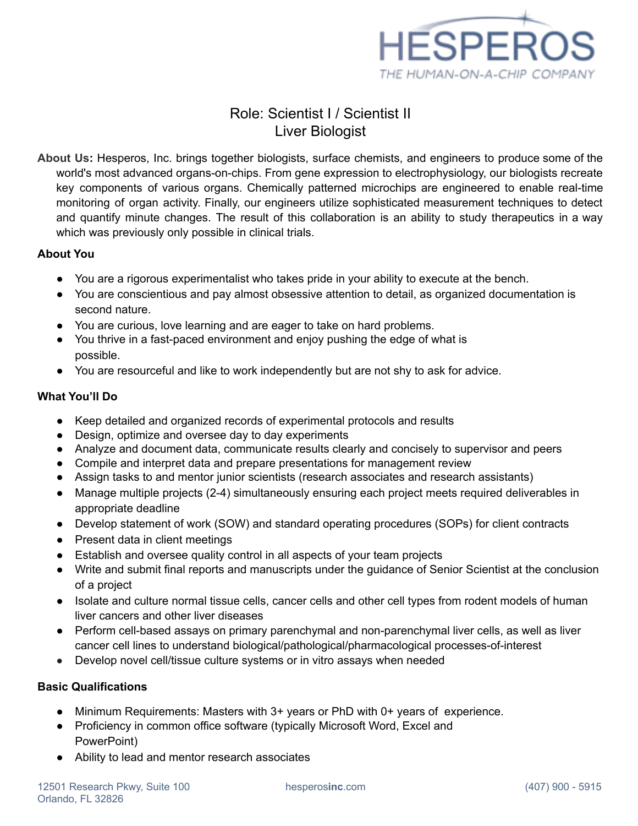

# Role: Scientist I / Scientist II Liver Biologist

**About Us:** Hesperos, Inc. brings together biologists, surface chemists, and engineers to produce some of the world's most advanced organs-on-chips. From gene expression to electrophysiology, our biologists recreate key components of various organs. Chemically patterned microchips are engineered to enable real-time monitoring of organ activity. Finally, our engineers utilize sophisticated measurement techniques to detect and quantify minute changes. The result of this collaboration is an ability to study therapeutics in a way which was previously only possible in clinical trials.

### **About You**

- You are a rigorous experimentalist who takes pride in your ability to execute at the bench.
- You are conscientious and pay almost obsessive attention to detail, as organized documentation is second nature.
- You are curious, love learning and are eager to take on hard problems.
- You thrive in a fast-paced environment and enjoy pushing the edge of what is possible.
- You are resourceful and like to work independently but are not shy to ask for advice.

## **What You'll Do**

- Keep detailed and organized records of experimental protocols and results
- Design, optimize and oversee day to day experiments
- Analyze and document data, communicate results clearly and concisely to supervisor and peers
- Compile and interpret data and prepare presentations for management review
- Assign tasks to and mentor junior scientists (research associates and research assistants)
- Manage multiple projects (2-4) simultaneously ensuring each project meets required deliverables in appropriate deadline
- Develop statement of work (SOW) and standard operating procedures (SOPs) for client contracts
- Present data in client meetings
- Establish and oversee quality control in all aspects of your team projects
- Write and submit final reports and manuscripts under the guidance of Senior Scientist at the conclusion of a project
- Isolate and culture normal tissue cells, cancer cells and other cell types from rodent models of human liver cancers and other liver diseases
- Perform cell-based assays on primary parenchymal and non-parenchymal liver cells, as well as liver cancer cell lines to understand biological/pathological/pharmacological processes-of-interest
- Develop novel cell/tissue culture systems or in vitro assays when needed

## **Basic Qualifications**

- Minimum Requirements: Masters with 3+ years or PhD with 0+ years of experience.
- Proficiency in common office software (typically Microsoft Word, Excel and PowerPoint)
- Ability to lead and mentor research associates